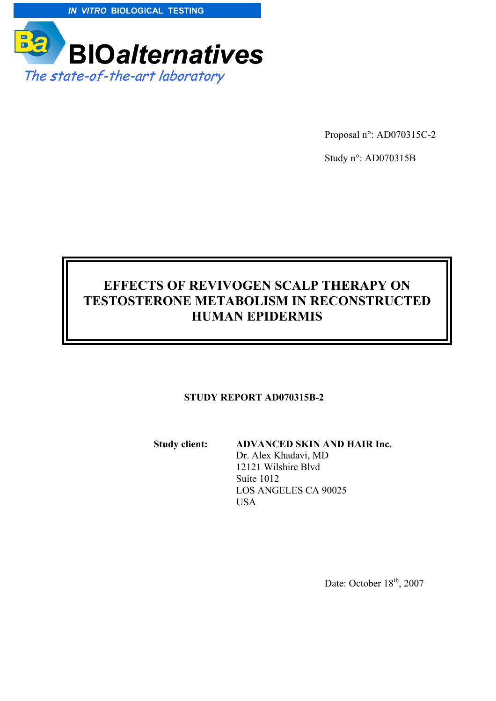



Proposal n°: AD070315C-2

Study n°: AD070315B

# **EFFECTS OF REVIVOGEN SCALP THERAPY ON TESTOSTERONE METABOLISM IN RECONSTRUCTED HUMAN EPIDERMIS**

#### **STUDY REPORT AD070315B-2**

**Study client: ADVANCED SKIN AND HAIR Inc.** 

 Dr. Alex Khadavi, MD 12121 Wilshire Blvd Suite 1012 LOS ANGELES CA 90025 USA

Date: October  $18<sup>th</sup>$ , 2007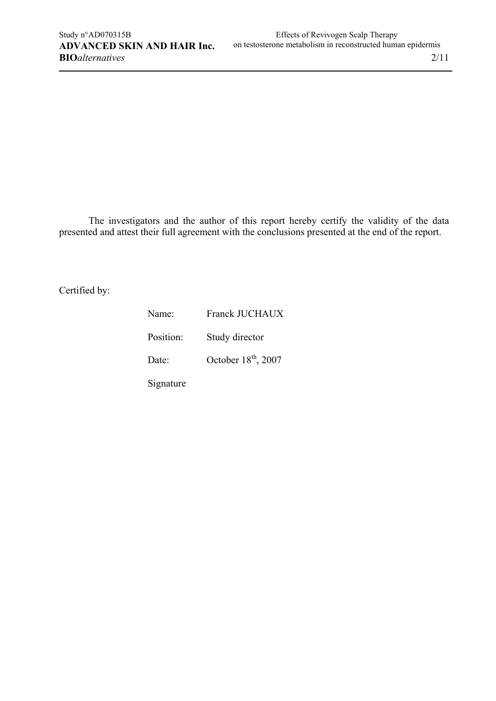The investigators and the author of this report hereby certify the validity of the data presented and attest their full agreement with the conclusions presented at the end of the report.

Certified by:

| Name:     | <b>Franck JUCHAUX</b> |
|-----------|-----------------------|
| Position: | Study director        |
| Date:     | October $18th$ , 2007 |
| Signature |                       |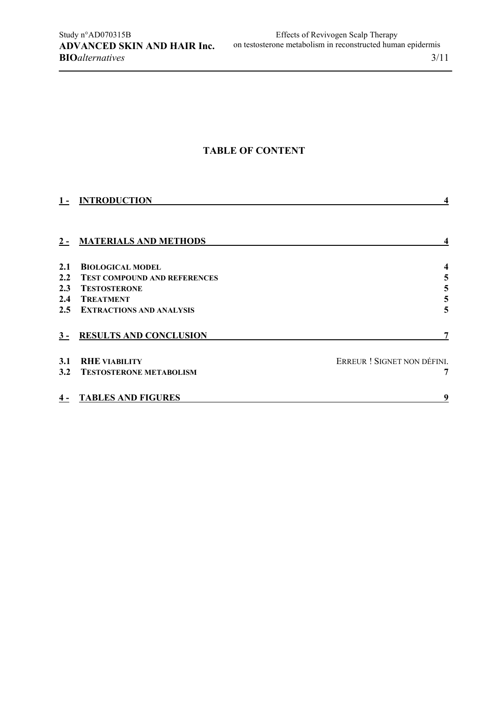### **TABLE OF CONTENT**

|                  | 1- INTRODUCTION                     |                             |
|------------------|-------------------------------------|-----------------------------|
|                  | 2 - MATERIALS AND METHODS           |                             |
| 2.1              | <b>BIOLOGICAL MODEL</b>             |                             |
| $2.2^{\circ}$    | <b>TEST COMPOUND AND REFERENCES</b> | 5                           |
| 2.3              | <b>TESTOSTERONE</b>                 | 5                           |
| $2.4\phantom{0}$ | <b>TREATMENT</b>                    | 5                           |
|                  | 2.5 EXTRACTIONS AND ANALYSIS        | 5                           |
|                  | 3 - RESULTS AND CONCLUSION          | 7                           |
| 3.1              | <b>RHE VIABILITY</b>                | ERREUR ! SIGNET NON DÉFINI. |
|                  | 3.2 TESTOSTERONE METABOLISM         | 7                           |
|                  | <b>4 - TABLES AND FIGURES</b>       | 9                           |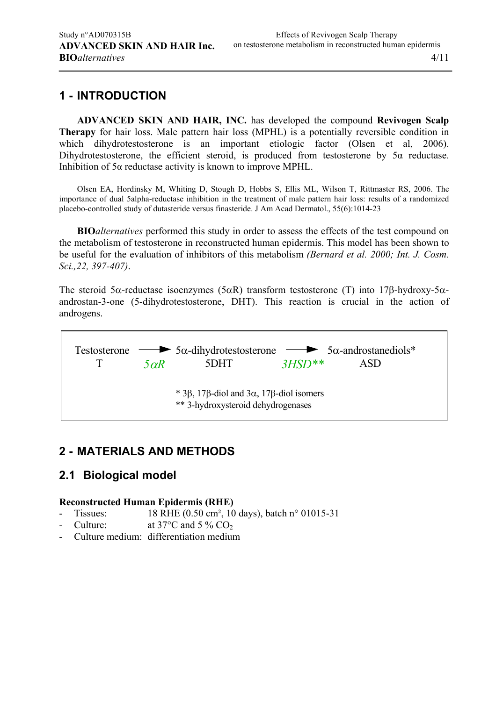## **1 - INTRODUCTION**

**ADVANCED SKIN AND HAIR, INC.** has developed the compound **Revivogen Scalp Therapy** for hair loss. Male pattern hair loss (MPHL) is a potentially reversible condition in which dihydrotestosterone is an important etiologic factor (Olsen et al, 2006). Dihydrotestosterone, the efficient steroid, is produced from testosterone by 5α reductase. Inhibition of 5α reductase activity is known to improve MPHL.

Olsen EA, Hordinsky M, Whiting D, Stough D, Hobbs S, Ellis ML, Wilson T, Rittmaster RS, 2006. The importance of dual 5alpha-reductase inhibition in the treatment of male pattern hair loss: results of a randomized placebo-controlled study of dutasteride versus finasteride. J Am Acad Dermatol., 55(6):1014-23

**BIO***alternatives* performed this study in order to assess the effects of the test compound on the metabolism of testosterone in reconstructed human epidermis. This model has been shown to be useful for the evaluation of inhibitors of this metabolism *(Bernard et al. 2000; Int. J. Cosm. Sci.,22, 397-407)*.

The steroid 5α-reductase isoenzymes (5αR) transform testosterone (T) into 17β-hydroxy-5αandrostan-3-one (5-dihydrotestosterone, DHT). This reaction is crucial in the action of androgens.

Testosterone 5α-dihydrotestosterone T 5DHT  $\rightarrow$  5 $\alpha$ -androstanediols\* *5*α*R 3HSD\*\** ASD \* 3β, 17β-diol and 3α, 17β-diol isomers \*\* 3-hydroxysteroid dehydrogenases

### **2 - MATERIALS AND METHODS**

### **2.1 Biological model**

### **Reconstructed Human Epidermis (RHE)**

- Tissues: 18 RHE (0.50 cm<sup>2</sup>, 10 days), batch n° 01015-31
- Culture: at  $37^{\circ}$ C and  $5\%$  CO<sub>2</sub>
- Culture medium: differentiation medium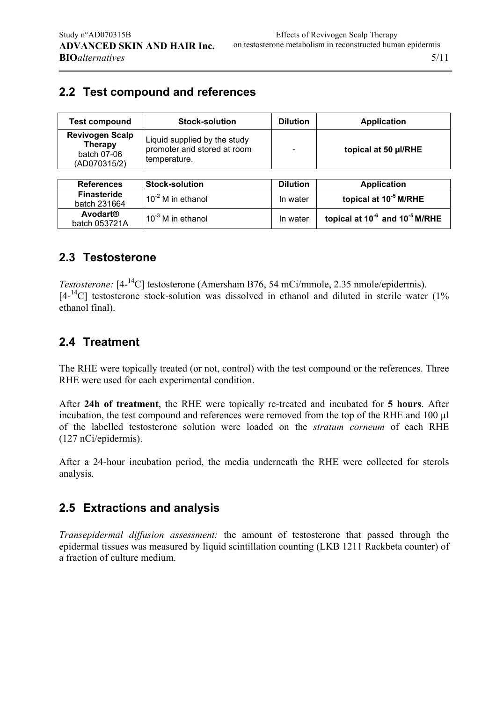# **2.2 Test compound and references**

| <b>Test compound</b>                                                    | <b>Stock-solution</b>                                                       | <b>Dilution</b> | <b>Application</b>                                     |
|-------------------------------------------------------------------------|-----------------------------------------------------------------------------|-----------------|--------------------------------------------------------|
| <b>Revivogen Scalp</b><br><b>Therapy</b><br>batch 07-06<br>(AD070315/2) | Liquid supplied by the study<br>promoter and stored at room<br>temperature. |                 | topical at 50 µl/RHE                                   |
|                                                                         |                                                                             |                 |                                                        |
| <b>References</b>                                                       | <b>Stock-solution</b>                                                       | <b>Dilution</b> | <b>Application</b>                                     |
| <b>Finasteride</b><br>batch 231664                                      | $10^{-2}$ M in ethanol                                                      | In water        | topical at 10 <sup>-5</sup> M/RHE                      |
| <b>Avodart®</b><br>batch 053721A                                        | $10^{-3}$ M in ethanol                                                      | In water        | topical at 10 <sup>-6</sup> and 10 <sup>-5</sup> M/RHE |

## **2.3 Testosterone**

*Testosterone:* [4-<sup>14</sup>C] testosterone (Amersham B76, 54 mCi/mmole, 2.35 nmole/epidermis).  $[4<sup>14</sup>C]$  testosterone stock-solution was dissolved in ethanol and diluted in sterile water (1%) ethanol final).

## **2.4 Treatment**

The RHE were topically treated (or not, control) with the test compound or the references. Three RHE were used for each experimental condition.

After **24h of treatment**, the RHE were topically re-treated and incubated for **5 hours**. After incubation, the test compound and references were removed from the top of the RHE and 100 µl of the labelled testosterone solution were loaded on the *stratum corneum* of each RHE (127 nCi/epidermis).

After a 24-hour incubation period, the media underneath the RHE were collected for sterols analysis.

## **2.5 Extractions and analysis**

*Transepidermal diffusion assessment:* the amount of testosterone that passed through the epidermal tissues was measured by liquid scintillation counting (LKB 1211 Rackbeta counter) of a fraction of culture medium.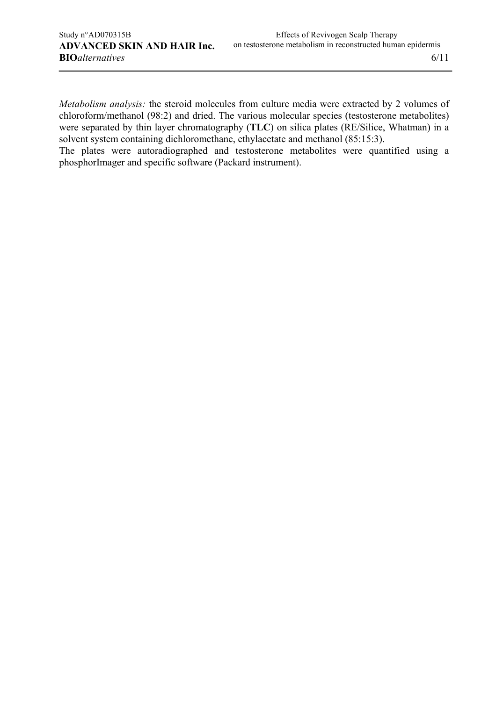*Metabolism analysis:* the steroid molecules from culture media were extracted by 2 volumes of chloroform/methanol (98:2) and dried. The various molecular species (testosterone metabolites) were separated by thin layer chromatography (**TLC**) on silica plates (RE/Silice, Whatman) in a solvent system containing dichloromethane, ethylacetate and methanol (85:15:3).

The plates were autoradiographed and testosterone metabolites were quantified using a phosphorImager and specific software (Packard instrument).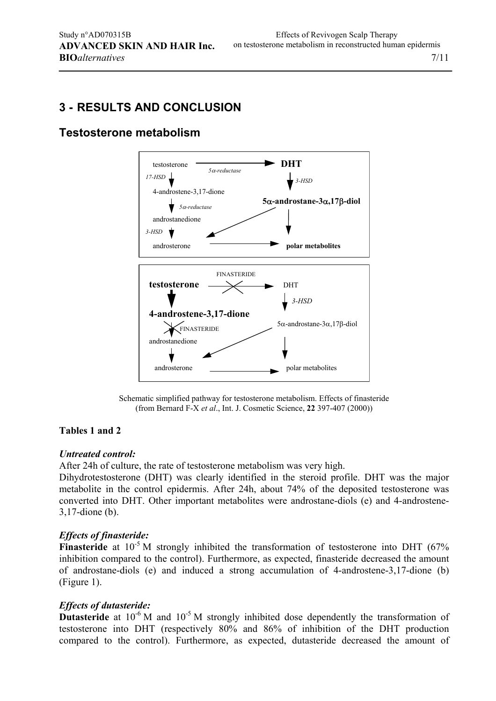## **3 - RESULTS AND CONCLUSION**

### **Testosterone metabolism**



Schematic simplified pathway for testosterone metabolism. Effects of finasteride (from Bernard F-X *et al*., Int. J. Cosmetic Science, **22** 397-407 (2000))

### **Tables 1 and 2**

#### *Untreated control:*

After 24h of culture, the rate of testosterone metabolism was very high.

Dihydrotestosterone (DHT) was clearly identified in the steroid profile. DHT was the major metabolite in the control epidermis. After 24h, about 74% of the deposited testosterone was converted into DHT. Other important metabolites were androstane-diols (e) and 4-androstene-3,17-dione (b).

### *Effects of finasteride:*

**Finasteride** at 10<sup>-5</sup> M strongly inhibited the transformation of testosterone into DHT (67%) inhibition compared to the control). Furthermore, as expected, finasteride decreased the amount of androstane-diols (e) and induced a strong accumulation of 4-androstene-3,17-dione (b) (Figure 1).

### *Effects of dutasteride:*

**Dutasteride** at 10<sup>-6</sup> M and 10<sup>-5</sup> M strongly inhibited dose dependently the transformation of testosterone into DHT (respectively 80% and 86% of inhibition of the DHT production compared to the control). Furthermore, as expected, dutasteride decreased the amount of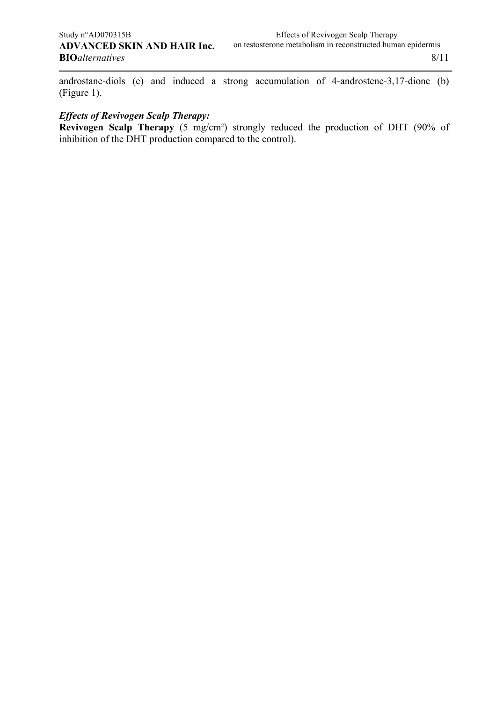androstane-diols (e) and induced a strong accumulation of 4-androstene-3,17-dione (b) (Figure 1).

### *Effects of Revivogen Scalp Therapy:*

**Revivogen Scalp Therapy** (5 mg/cm²) strongly reduced the production of DHT (90% of inhibition of the DHT production compared to the control).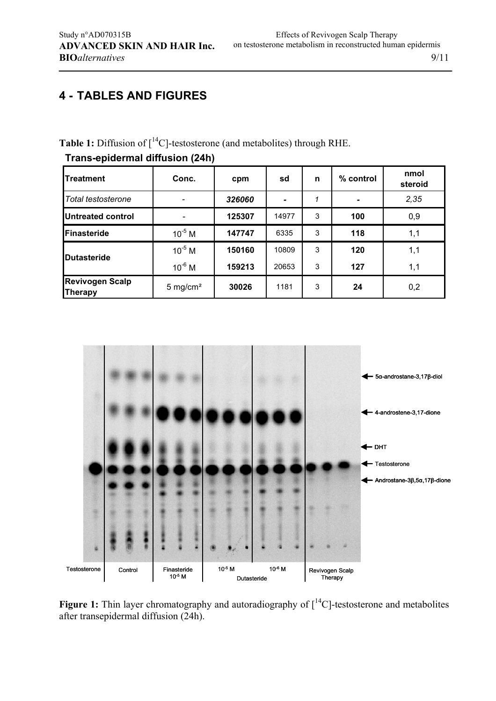## **4 - TABLES AND FIGURES**

Table 1: Diffusion of  $\left[ {}^{14}C \right]$ -testosterone (and metabolites) through RHE.

# **Trans-epidermal diffusion (24h)**

| <b>Treatment</b>                  | Conc.               | cpm                      | sd    | n | % control | nmol<br>steroid |  |
|-----------------------------------|---------------------|--------------------------|-------|---|-----------|-----------------|--|
| Total testosterone                |                     | 326060<br>$\blacksquare$ |       |   | 2,35      |                 |  |
| <b>Untreated control</b>          |                     | 125307                   | 14977 | 3 | 100       | 0,9             |  |
| Finasteride                       | $10^{-5}$ M         | 147747                   | 6335  | 3 | 118       | 1,1             |  |
| Dutasteride                       | $10^{-5}$ M         | 150160                   | 10809 | 3 | 120       | 1,1             |  |
|                                   | $10^{-6}$ M         | 159213                   | 20653 | 3 | 127       | 1,1             |  |
| <b>Revivogen Scalp</b><br>Therapy | $5 \text{ mg/cm}^2$ | 30026                    | 1181  | 3 | 24        | 0,2             |  |



Figure 1: Thin layer chromatography and autoradiography of  $[^{14}C]$ -testosterone and metabolites after transepidermal diffusion (24h).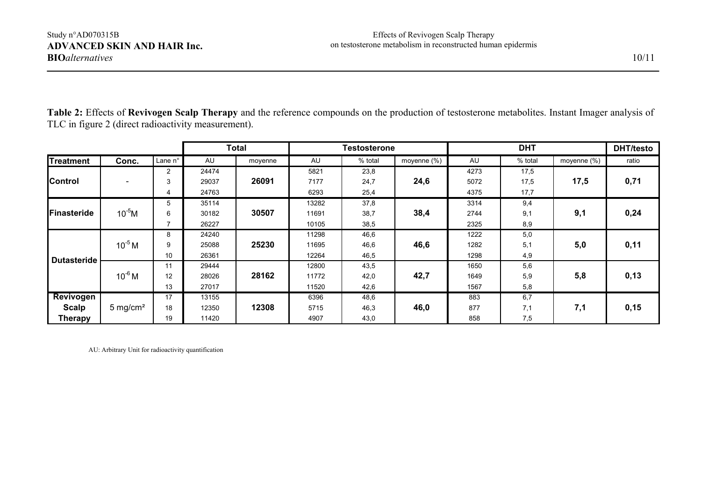|                    |                     |                | <b>Total</b> |         | <b>Testosterone</b> |         | <b>DHT</b>  |      |         | <b>DHT/testo</b> |       |
|--------------------|---------------------|----------------|--------------|---------|---------------------|---------|-------------|------|---------|------------------|-------|
| <b>Treatment</b>   | Conc.               | Lane n°        | AU           | moyenne | AU                  | % total | moyenne (%) | AU   | % total | moyenne (%)      | ratio |
| <b>Control</b>     |                     | $\overline{2}$ | 24474        |         | 5821                | 23,8    |             | 4273 | 17,5    |                  |       |
|                    |                     | 3              | 29037        | 26091   | 7177                | 24,7    | 24,6        | 5072 | 17,5    | 17,5             | 0,71  |
|                    |                     | 4              | 24763        |         | 6293                | 25,4    |             | 4375 | 17,7    |                  |       |
| Finasteride        |                     | 5              | 35114        |         | 13282               | 37,8    |             | 3314 | 9,4     |                  |       |
|                    | $10^{-5}$ M         | 6              | 30182        | 30507   | 11691               | 38,7    | 38,4        | 2744 | 9,1     | 9,1              | 0,24  |
|                    |                     |                | 26227        |         | 10105               | 38,5    |             | 2325 | 8,9     |                  |       |
| <b>Dutasteride</b> |                     | 8              | 24240        |         | 11298               | 46,6    |             | 1222 | 5,0     |                  |       |
|                    | $10^{-5}$ M         | 9              | 25088        | 25230   | 11695               | 46,6    | 46,6        | 1282 | 5,1     | 5,0              | 0,11  |
|                    |                     | 10             | 26361        |         | 12264               | 46,5    |             | 1298 | 4,9     |                  |       |
|                    |                     | 11             | 29444        |         | 12800               | 43,5    |             | 1650 | 5,6     |                  |       |
|                    | $10^{-6}$ M         | 12             | 28026        | 28162   | 11772               | 42,0    | 42,7        | 1649 | 5,9     | 5,8              | 0,13  |
|                    |                     | 13             | 27017        |         | 11520               | 42,6    |             | 1567 | 5,8     |                  |       |
| Revivogen          |                     | 17             | 13155        |         | 6396                | 48,6    |             | 883  | 6,7     |                  |       |
| <b>Scalp</b>       | $5 \text{ mg/cm}^2$ | 18             | 12350        | 12308   | 5715                | 46,3    | 46,0        | 877  | 7,1     | 7,1              | 0,15  |
| <b>Therapy</b>     |                     | 19             | 11420        |         | 4907                | 43,0    |             | 858  | 7,5     |                  |       |

**Table 2:** Effects of **Revivogen Scalp Therapy** and the reference compounds on the production of testosterone metabolites. Instant Imager analysis of TLC in figure 2 (direct radioactivity measurement).

AU: Arbitrary Unit for radioactivity quantification